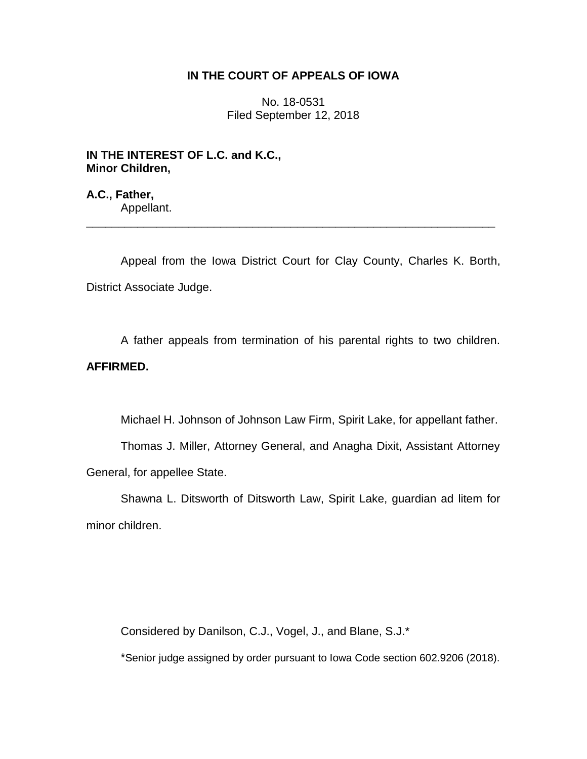# **IN THE COURT OF APPEALS OF IOWA**

No. 18-0531 Filed September 12, 2018

**IN THE INTEREST OF L.C. and K.C., Minor Children,**

**A.C., Father,** Appellant.

Appeal from the Iowa District Court for Clay County, Charles K. Borth, District Associate Judge.

\_\_\_\_\_\_\_\_\_\_\_\_\_\_\_\_\_\_\_\_\_\_\_\_\_\_\_\_\_\_\_\_\_\_\_\_\_\_\_\_\_\_\_\_\_\_\_\_\_\_\_\_\_\_\_\_\_\_\_\_\_\_\_\_

A father appeals from termination of his parental rights to two children. **AFFIRMED.**

Michael H. Johnson of Johnson Law Firm, Spirit Lake, for appellant father.

Thomas J. Miller, Attorney General, and Anagha Dixit, Assistant Attorney General, for appellee State.

Shawna L. Ditsworth of Ditsworth Law, Spirit Lake, guardian ad litem for minor children.

Considered by Danilson, C.J., Vogel, J., and Blane, S.J.\*

\*Senior judge assigned by order pursuant to Iowa Code section 602.9206 (2018).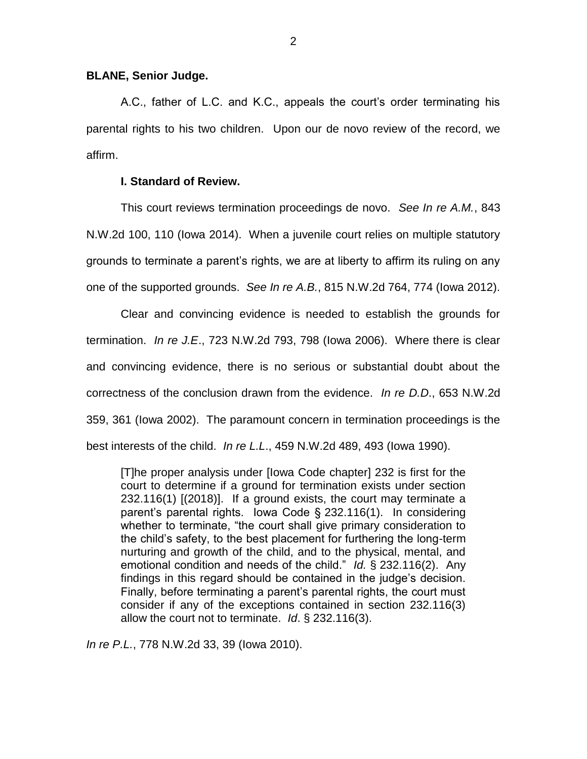### **BLANE, Senior Judge.**

A.C., father of L.C. and K.C., appeals the court's order terminating his parental rights to his two children. Upon our de novo review of the record, we affirm.

## **I. Standard of Review.**

This court reviews termination proceedings de novo. *See In re A.M.*, 843 N.W.2d 100, 110 (Iowa 2014). When a juvenile court relies on multiple statutory grounds to terminate a parent's rights, we are at liberty to affirm its ruling on any one of the supported grounds. *See In re A.B.*, 815 N.W.2d 764, 774 (Iowa 2012).

Clear and convincing evidence is needed to establish the grounds for termination. *In re J.E*., 723 N.W.2d 793, 798 (Iowa 2006). Where there is clear and convincing evidence, there is no serious or substantial doubt about the correctness of the conclusion drawn from the evidence. *In re D.D*., 653 N.W.2d 359, 361 (Iowa 2002). The paramount concern in termination proceedings is the best interests of the child. *In re L.L*., 459 N.W.2d 489, 493 (Iowa 1990).

[T]he proper analysis under [Iowa Code chapter] 232 is first for the court to determine if a ground for termination exists under section 232.116(1) [(2018)]. If a ground exists, the court may terminate a parent's parental rights. Iowa Code § 232.116(1). In considering whether to terminate, "the court shall give primary consideration to the child's safety, to the best placement for furthering the long-term nurturing and growth of the child, and to the physical, mental, and emotional condition and needs of the child." *Id.* § 232.116(2). Any findings in this regard should be contained in the judge's decision. Finally, before terminating a parent's parental rights, the court must consider if any of the exceptions contained in section 232.116(3) allow the court not to terminate. *Id*. § 232.116(3).

*In re P.L.*, 778 N.W.2d 33, 39 (Iowa 2010).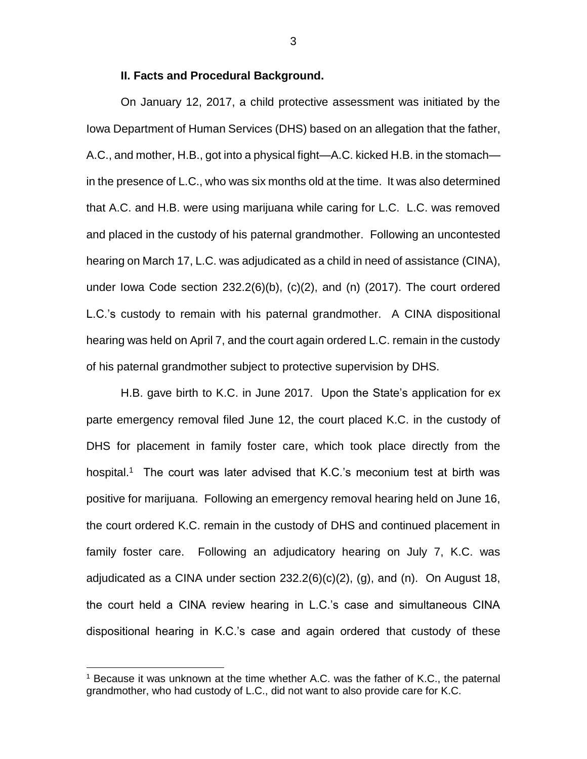#### **II. Facts and Procedural Background.**

On January 12, 2017, a child protective assessment was initiated by the Iowa Department of Human Services (DHS) based on an allegation that the father, A.C., and mother, H.B., got into a physical fight—A.C. kicked H.B. in the stomach in the presence of L.C., who was six months old at the time. It was also determined that A.C. and H.B. were using marijuana while caring for L.C. L.C. was removed and placed in the custody of his paternal grandmother. Following an uncontested hearing on March 17, L.C. was adjudicated as a child in need of assistance (CINA), under Iowa Code section 232.2(6)(b), (c)(2), and (n) (2017). The court ordered L.C.'s custody to remain with his paternal grandmother. A CINA dispositional hearing was held on April 7, and the court again ordered L.C. remain in the custody of his paternal grandmother subject to protective supervision by DHS.

H.B. gave birth to K.C. in June 2017. Upon the State's application for ex parte emergency removal filed June 12, the court placed K.C. in the custody of DHS for placement in family foster care, which took place directly from the hospital.<sup>1</sup> The court was later advised that K.C.'s meconium test at birth was positive for marijuana. Following an emergency removal hearing held on June 16, the court ordered K.C. remain in the custody of DHS and continued placement in family foster care. Following an adjudicatory hearing on July 7, K.C. was adjudicated as a CINA under section  $232.2(6)(c)(2)$ , (g), and (n). On August 18, the court held a CINA review hearing in L.C.'s case and simultaneous CINA dispositional hearing in K.C.'s case and again ordered that custody of these

 $\overline{a}$ 

<sup>1</sup> Because it was unknown at the time whether A.C. was the father of K.C., the paternal grandmother, who had custody of L.C., did not want to also provide care for K.C.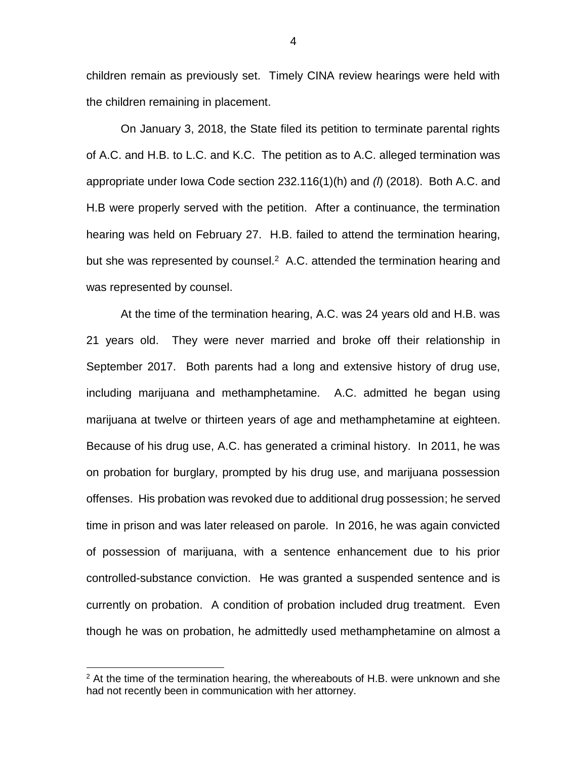children remain as previously set. Timely CINA review hearings were held with the children remaining in placement.

On January 3, 2018, the State filed its petition to terminate parental rights of A.C. and H.B. to L.C. and K.C. The petition as to A.C. alleged termination was appropriate under Iowa Code section 232.116(1)(h) and *(l*) (2018). Both A.C. and H.B were properly served with the petition. After a continuance, the termination hearing was held on February 27. H.B. failed to attend the termination hearing, but she was represented by counsel. $2$  A.C. attended the termination hearing and was represented by counsel.

At the time of the termination hearing, A.C. was 24 years old and H.B. was 21 years old. They were never married and broke off their relationship in September 2017. Both parents had a long and extensive history of drug use, including marijuana and methamphetamine. A.C. admitted he began using marijuana at twelve or thirteen years of age and methamphetamine at eighteen. Because of his drug use, A.C. has generated a criminal history. In 2011, he was on probation for burglary, prompted by his drug use, and marijuana possession offenses. His probation was revoked due to additional drug possession; he served time in prison and was later released on parole. In 2016, he was again convicted of possession of marijuana, with a sentence enhancement due to his prior controlled-substance conviction. He was granted a suspended sentence and is currently on probation. A condition of probation included drug treatment. Even though he was on probation, he admittedly used methamphetamine on almost a

 $\overline{a}$ 

4

 $2$  At the time of the termination hearing, the whereabouts of H.B. were unknown and she had not recently been in communication with her attorney.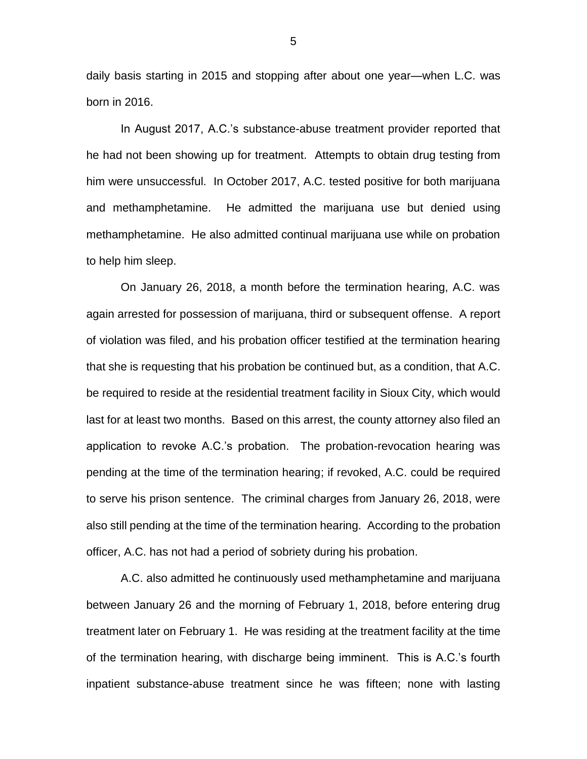daily basis starting in 2015 and stopping after about one year—when L.C. was born in 2016.

In August 2017, A.C.'s substance-abuse treatment provider reported that he had not been showing up for treatment. Attempts to obtain drug testing from him were unsuccessful. In October 2017, A.C. tested positive for both marijuana and methamphetamine. He admitted the marijuana use but denied using methamphetamine. He also admitted continual marijuana use while on probation to help him sleep.

On January 26, 2018, a month before the termination hearing, A.C. was again arrested for possession of marijuana, third or subsequent offense. A report of violation was filed, and his probation officer testified at the termination hearing that she is requesting that his probation be continued but, as a condition, that A.C. be required to reside at the residential treatment facility in Sioux City, which would last for at least two months. Based on this arrest, the county attorney also filed an application to revoke A.C.'s probation. The probation-revocation hearing was pending at the time of the termination hearing; if revoked, A.C. could be required to serve his prison sentence. The criminal charges from January 26, 2018, were also still pending at the time of the termination hearing. According to the probation officer, A.C. has not had a period of sobriety during his probation.

A.C. also admitted he continuously used methamphetamine and marijuana between January 26 and the morning of February 1, 2018, before entering drug treatment later on February 1. He was residing at the treatment facility at the time of the termination hearing, with discharge being imminent. This is A.C.'s fourth inpatient substance-abuse treatment since he was fifteen; none with lasting

5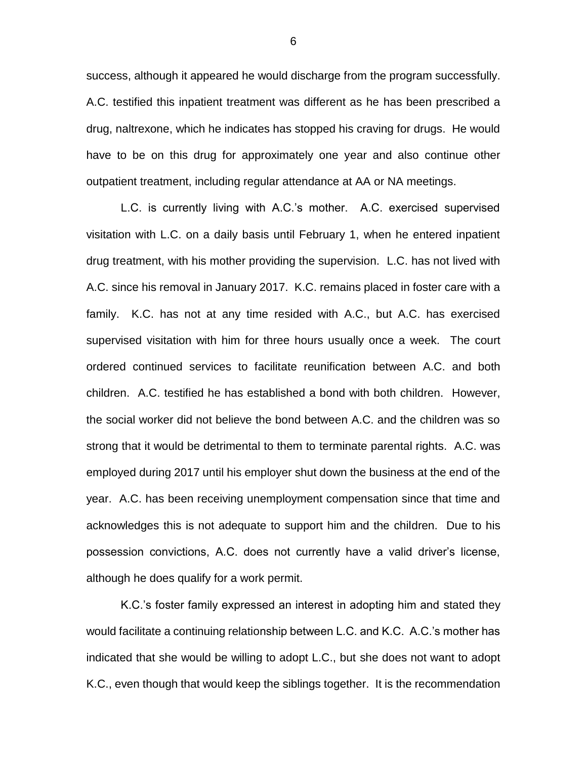success, although it appeared he would discharge from the program successfully. A.C. testified this inpatient treatment was different as he has been prescribed a drug, naltrexone, which he indicates has stopped his craving for drugs. He would have to be on this drug for approximately one year and also continue other outpatient treatment, including regular attendance at AA or NA meetings.

L.C. is currently living with A.C.'s mother. A.C. exercised supervised visitation with L.C. on a daily basis until February 1, when he entered inpatient drug treatment, with his mother providing the supervision. L.C. has not lived with A.C. since his removal in January 2017. K.C. remains placed in foster care with a family. K.C. has not at any time resided with A.C., but A.C. has exercised supervised visitation with him for three hours usually once a week. The court ordered continued services to facilitate reunification between A.C. and both children. A.C. testified he has established a bond with both children. However, the social worker did not believe the bond between A.C. and the children was so strong that it would be detrimental to them to terminate parental rights. A.C. was employed during 2017 until his employer shut down the business at the end of the year. A.C. has been receiving unemployment compensation since that time and acknowledges this is not adequate to support him and the children. Due to his possession convictions, A.C. does not currently have a valid driver's license, although he does qualify for a work permit.

K.C.'s foster family expressed an interest in adopting him and stated they would facilitate a continuing relationship between L.C. and K.C. A.C.'s mother has indicated that she would be willing to adopt L.C., but she does not want to adopt K.C., even though that would keep the siblings together. It is the recommendation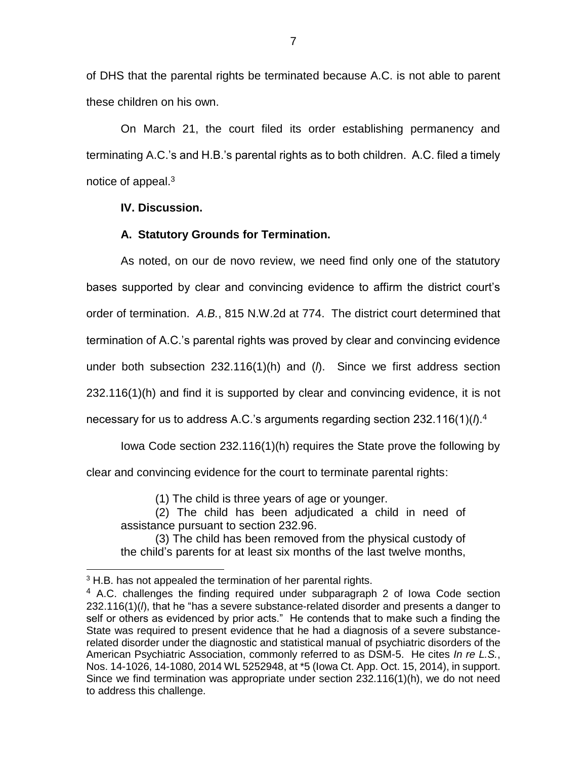of DHS that the parental rights be terminated because A.C. is not able to parent these children on his own.

On March 21, the court filed its order establishing permanency and terminating A.C.'s and H.B.'s parental rights as to both children. A.C. filed a timely notice of appeal.<sup>3</sup>

## **IV. Discussion.**

## **A. Statutory Grounds for Termination.**

As noted, on our de novo review, we need find only one of the statutory bases supported by clear and convincing evidence to affirm the district court's order of termination. *A.B.*, 815 N.W.2d at 774. The district court determined that termination of A.C.'s parental rights was proved by clear and convincing evidence under both subsection 232.116(1)(h) and (*l*). Since we first address section 232.116(1)(h) and find it is supported by clear and convincing evidence, it is not necessary for us to address A.C.'s arguments regarding section 232.116(1)(*l*).<sup>4</sup>

Iowa Code section 232.116(1)(h) requires the State prove the following by clear and convincing evidence for the court to terminate parental rights:

(1) The child is three years of age or younger.

(2) The child has been adjudicated a child in need of assistance pursuant to section 232.96.

(3) The child has been removed from the physical custody of the child's parents for at least six months of the last twelve months,

 $\overline{a}$ 

<sup>&</sup>lt;sup>3</sup> H.B. has not appealed the termination of her parental rights.

<sup>&</sup>lt;sup>4</sup> A.C. challenges the finding required under subparagraph 2 of Iowa Code section 232.116(1)(*l*), that he "has a severe substance-related disorder and presents a danger to self or others as evidenced by prior acts." He contends that to make such a finding the State was required to present evidence that he had a diagnosis of a severe substancerelated disorder under the diagnostic and statistical manual of psychiatric disorders of the American Psychiatric Association, commonly referred to as DSM-5. He cites *In re L.S.*, Nos. 14-1026, 14-1080, 2014 WL 5252948, at \*5 (Iowa Ct. App. Oct. 15, 2014), in support. Since we find termination was appropriate under section 232.116(1)(h), we do not need to address this challenge.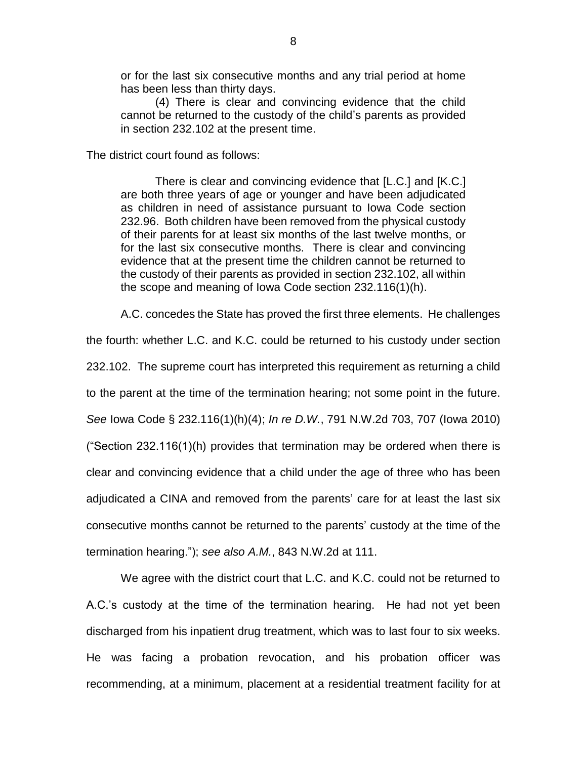or for the last six consecutive months and any trial period at home has been less than thirty days.

(4) There is clear and convincing evidence that the child cannot be returned to the custody of the child's parents as provided in section 232.102 at the present time.

The district court found as follows:

There is clear and convincing evidence that [L.C.] and [K.C.] are both three years of age or younger and have been adjudicated as children in need of assistance pursuant to Iowa Code section 232.96. Both children have been removed from the physical custody of their parents for at least six months of the last twelve months, or for the last six consecutive months. There is clear and convincing evidence that at the present time the children cannot be returned to the custody of their parents as provided in section 232.102, all within the scope and meaning of Iowa Code section 232.116(1)(h).

A.C. concedes the State has proved the first three elements. He challenges

the fourth: whether L.C. and K.C. could be returned to his custody under section 232.102. The supreme court has interpreted this requirement as returning a child to the parent at the time of the termination hearing; not some point in the future. *See* Iowa Code § 232.116(1)(h)(4); *In re D.W.*, 791 N.W.2d 703, 707 (Iowa 2010) ("Section 232.116(1)(h) provides that termination may be ordered when there is clear and convincing evidence that a child under the age of three who has been adjudicated a CINA and removed from the parents' care for at least the last six consecutive months cannot be returned to the parents' custody at the time of the termination hearing."); *see also A.M.*, 843 N.W.2d at 111.

We agree with the district court that L.C. and K.C. could not be returned to A.C.'s custody at the time of the termination hearing. He had not yet been discharged from his inpatient drug treatment, which was to last four to six weeks. He was facing a probation revocation, and his probation officer was recommending, at a minimum, placement at a residential treatment facility for at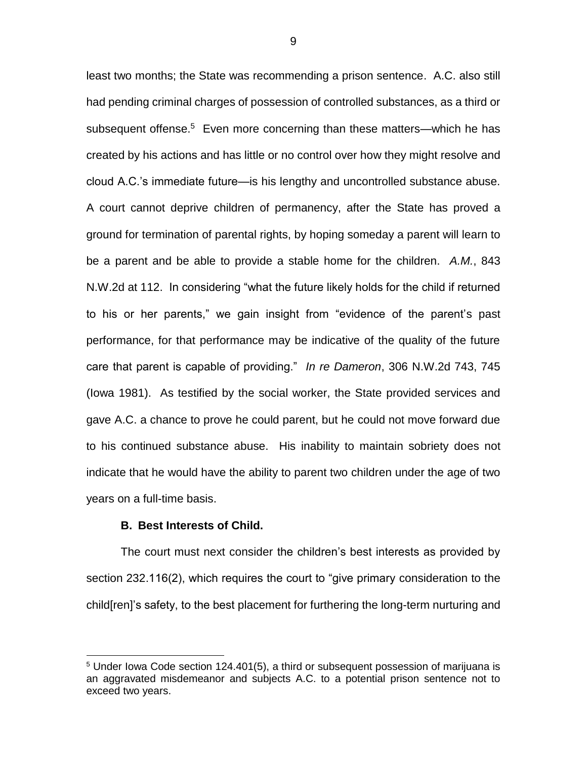least two months; the State was recommending a prison sentence. A.C. also still had pending criminal charges of possession of controlled substances, as a third or subsequent offense.<sup>5</sup> Even more concerning than these matters—which he has created by his actions and has little or no control over how they might resolve and cloud A.C.'s immediate future—is his lengthy and uncontrolled substance abuse. A court cannot deprive children of permanency, after the State has proved a ground for termination of parental rights, by hoping someday a parent will learn to be a parent and be able to provide a stable home for the children. *A.M.*, 843 N.W.2d at 112. In considering "what the future likely holds for the child if returned to his or her parents," we gain insight from "evidence of the parent's past performance, for that performance may be indicative of the quality of the future care that parent is capable of providing." *In re Dameron*, 306 N.W.2d 743, 745 (Iowa 1981). As testified by the social worker, the State provided services and gave A.C. a chance to prove he could parent, but he could not move forward due to his continued substance abuse. His inability to maintain sobriety does not indicate that he would have the ability to parent two children under the age of two years on a full-time basis.

#### **B. Best Interests of Child.**

 $\overline{a}$ 

The court must next consider the children's best interests as provided by section 232.116(2), which requires the court to "give primary consideration to the child[ren]'s safety, to the best placement for furthering the long-term nurturing and

<sup>&</sup>lt;sup>5</sup> Under Iowa Code section 124.401(5), a third or subsequent possession of marijuana is an aggravated misdemeanor and subjects A.C. to a potential prison sentence not to exceed two years.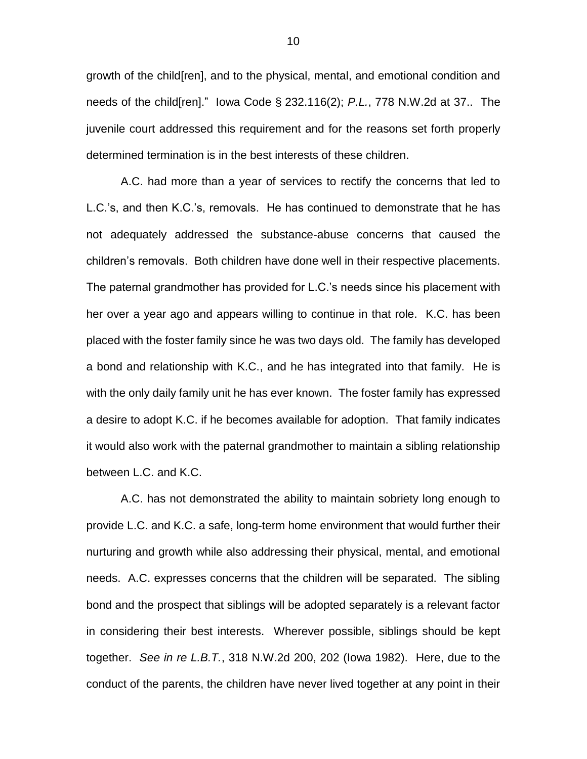growth of the child[ren], and to the physical, mental, and emotional condition and needs of the child[ren]." Iowa Code § 232.116(2); *P.L.*, 778 N.W.2d at 37.. The juvenile court addressed this requirement and for the reasons set forth properly determined termination is in the best interests of these children.

A.C. had more than a year of services to rectify the concerns that led to L.C.'s, and then K.C.'s, removals. He has continued to demonstrate that he has not adequately addressed the substance-abuse concerns that caused the children's removals. Both children have done well in their respective placements. The paternal grandmother has provided for L.C.'s needs since his placement with her over a year ago and appears willing to continue in that role. K.C. has been placed with the foster family since he was two days old. The family has developed a bond and relationship with K.C., and he has integrated into that family. He is with the only daily family unit he has ever known. The foster family has expressed a desire to adopt K.C. if he becomes available for adoption. That family indicates it would also work with the paternal grandmother to maintain a sibling relationship between L.C. and K.C.

A.C. has not demonstrated the ability to maintain sobriety long enough to provide L.C. and K.C. a safe, long-term home environment that would further their nurturing and growth while also addressing their physical, mental, and emotional needs. A.C. expresses concerns that the children will be separated. The sibling bond and the prospect that siblings will be adopted separately is a relevant factor in considering their best interests. Wherever possible, siblings should be kept together. *See in re L.B.T.*, 318 N.W.2d 200, 202 (Iowa 1982). Here, due to the conduct of the parents, the children have never lived together at any point in their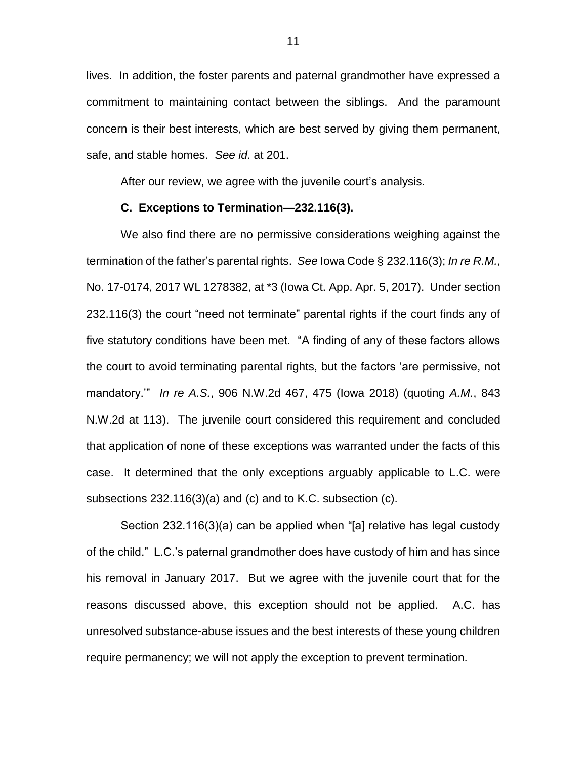lives. In addition, the foster parents and paternal grandmother have expressed a commitment to maintaining contact between the siblings. And the paramount concern is their best interests, which are best served by giving them permanent, safe, and stable homes. *See id.* at 201.

After our review, we agree with the juvenile court's analysis.

### **C. Exceptions to Termination—232.116(3).**

We also find there are no permissive considerations weighing against the termination of the father's parental rights. *See* Iowa Code § 232.116(3); *In re R.M.*, No. 17-0174, 2017 WL 1278382, at \*3 (Iowa Ct. App. Apr. 5, 2017). Under section 232.116(3) the court "need not terminate" parental rights if the court finds any of five statutory conditions have been met. "A finding of any of these factors allows the court to avoid terminating parental rights, but the factors 'are permissive, not mandatory.'" *In re A.S.*, 906 N.W.2d 467, 475 (Iowa 2018) (quoting *A.M.*, 843 N.W.2d at 113). The juvenile court considered this requirement and concluded that application of none of these exceptions was warranted under the facts of this case. It determined that the only exceptions arguably applicable to L.C. were subsections 232.116(3)(a) and (c) and to K.C. subsection (c).

Section 232.116(3)(a) can be applied when "[a] relative has legal custody of the child." L.C.'s paternal grandmother does have custody of him and has since his removal in January 2017. But we agree with the juvenile court that for the reasons discussed above, this exception should not be applied. A.C. has unresolved substance-abuse issues and the best interests of these young children require permanency; we will not apply the exception to prevent termination.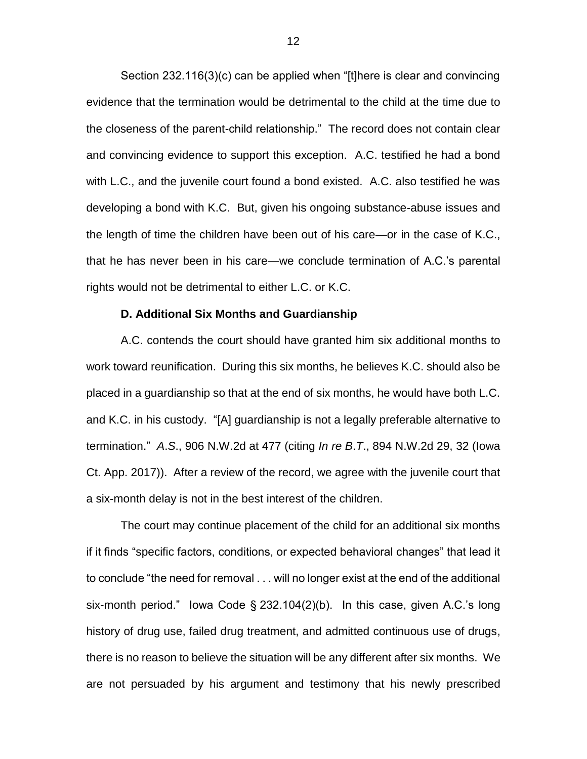Section 232.116(3)(c) can be applied when "[t]here is clear and convincing evidence that the termination would be detrimental to the child at the time due to the closeness of the parent-child relationship." The record does not contain clear and convincing evidence to support this exception. A.C. testified he had a bond with L.C., and the juvenile court found a bond existed. A.C. also testified he was developing a bond with K.C. But, given his ongoing substance-abuse issues and the length of time the children have been out of his care—or in the case of K.C., that he has never been in his care—we conclude termination of A.C.'s parental rights would not be detrimental to either L.C. or K.C.

#### **D. Additional Six Months and Guardianship**

A.C. contends the court should have granted him six additional months to work toward reunification. During this six months, he believes K.C. should also be placed in a guardianship so that at the end of six months, he would have both L.C. and K.C. in his custody. "[A] guardianship is not a legally preferable alternative to termination." *A*.*S*., 906 N.W.2d at 477 (citing *In re B*.*T*., 894 N.W.2d 29, 32 (Iowa Ct. App. 2017)). After a review of the record, we agree with the juvenile court that a six-month delay is not in the best interest of the children.

The court may continue placement of the child for an additional six months if it finds "specific factors, conditions, or expected behavioral changes" that lead it to conclude "the need for removal . . . will no longer exist at the end of the additional six-month period." Iowa Code § 232.104(2)(b). In this case, given A.C.'s long history of drug use, failed drug treatment, and admitted continuous use of drugs, there is no reason to believe the situation will be any different after six months. We are not persuaded by his argument and testimony that his newly prescribed